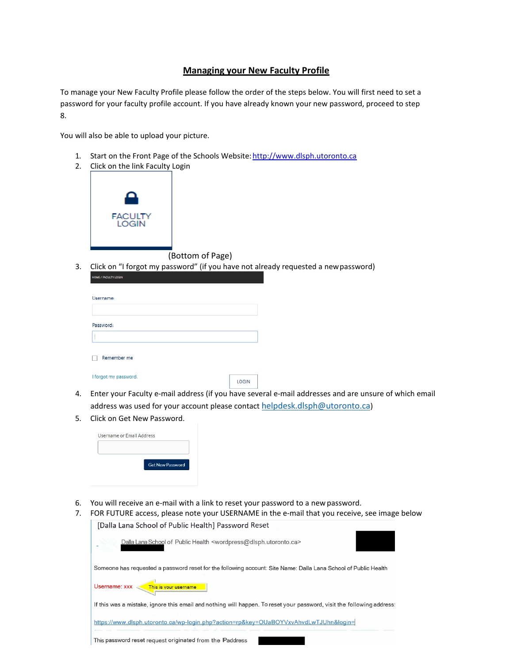## **Managing your New Faculty Profile**

To manage your New Faculty Profile please follow the order of the steps below. You will first need to set a password for your faculty profile account. If you have already known your new password, proceed to step 8.

You will also be able to upload your picture.

- 1. Start on the Front Page of the Schools Website: http://www.dlsph.utoronto.ca
- 2. Click on the link Faculty Login



(Bottom of Page)

3. Click on "I forgot my password" (if you have not already requested a newpassword)

| Username: |             |  |  |
|-----------|-------------|--|--|
|           |             |  |  |
| Password: |             |  |  |
|           |             |  |  |
|           | Remember me |  |  |

|  | I forgot my password. |
|--|-----------------------|
|  |                       |

LOGIN

- 4. Enter your Faculty e-mail address (if you have several e-mail addresses and are unsure of which email address was used for your account please contact [helpdesk.dlsph@utoronto.ca\)](mailto:helpdesk.dlsph@utoronto.ca)
- 5. Click on Get New Password.

| <b>Get New Password</b> |
|-------------------------|

6. You will receive an e-mail with a link to reset your password to a newpassword.

| 7. FOR FUTURE access, please note your USERNAME in the e-mail that you receive, see image below |  |
|-------------------------------------------------------------------------------------------------|--|
| [Dalla Lana School of Public Health] Password Reset                                             |  |